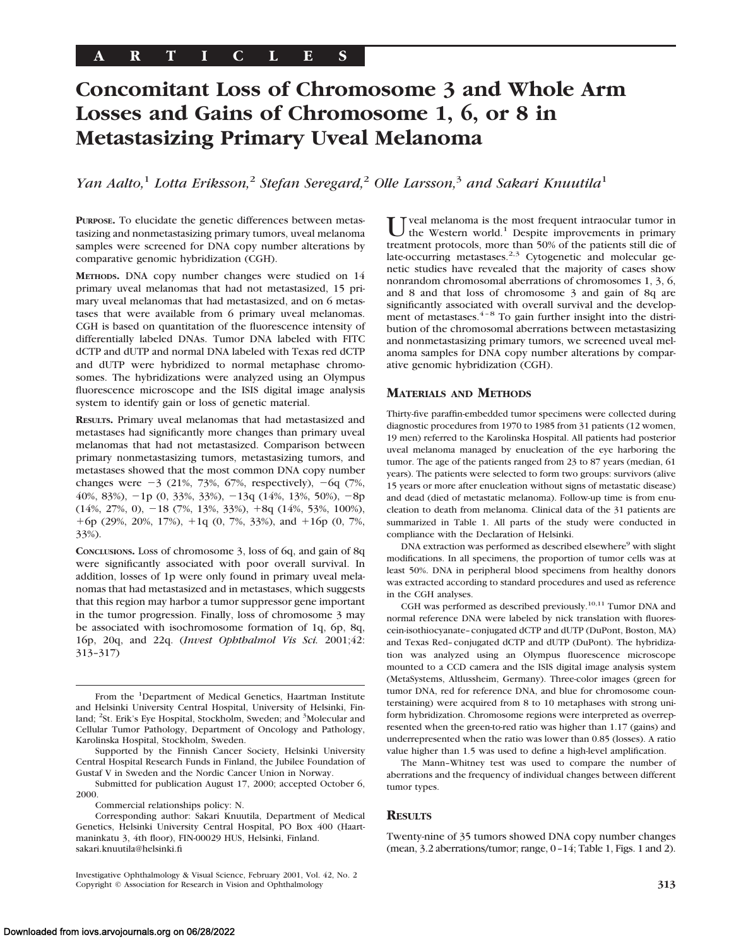# **Concomitant Loss of Chromosome 3 and Whole Arm Losses and Gains of Chromosome 1, 6, or 8 in Metastasizing Primary Uveal Melanoma**

*Yan Aalto,*<sup>1</sup> *Lotta Eriksson,*<sup>2</sup> *Stefan Seregard,*<sup>2</sup> *Olle Larsson,*<sup>3</sup> *and Sakari Knuutila*<sup>1</sup>

**PURPOSE.** To elucidate the genetic differences between metastasizing and nonmetastasizing primary tumors, uveal melanoma samples were screened for DNA copy number alterations by comparative genomic hybridization (CGH).

**METHODS.** DNA copy number changes were studied on 14 primary uveal melanomas that had not metastasized, 15 primary uveal melanomas that had metastasized, and on 6 metastases that were available from 6 primary uveal melanomas. CGH is based on quantitation of the fluorescence intensity of differentially labeled DNAs. Tumor DNA labeled with FITC dCTP and dUTP and normal DNA labeled with Texas red dCTP and dUTP were hybridized to normal metaphase chromosomes. The hybridizations were analyzed using an Olympus fluorescence microscope and the ISIS digital image analysis system to identify gain or loss of genetic material.

**RESULTS.** Primary uveal melanomas that had metastasized and metastases had significantly more changes than primary uveal melanomas that had not metastasized. Comparison between primary nonmetastasizing tumors, metastasizing tumors, and metastases showed that the most common DNA copy number changes were  $-3$  (21%, 73%, 67%, respectively),  $-6q$  (7%, 40%, 83%),  $-1p$  (0, 33%, 33%),  $-13q$  (14%, 13%, 50%),  $-8p$  $(14\%, 27\%, 0), -18$  (7%, 13%, 33%), +8q (14%, 53%, 100%),  $+6p$  (29%, 20%, 17%),  $+1q$  (0, 7%, 33%), and  $+16p$  (0, 7%, 33%).

**CONCLUSIONS.** Loss of chromosome 3, loss of 6q, and gain of 8q were significantly associated with poor overall survival. In addition, losses of 1p were only found in primary uveal melanomas that had metastasized and in metastases, which suggests that this region may harbor a tumor suppressor gene important in the tumor progression. Finally, loss of chromosome 3 may be associated with isochromosome formation of 1q, 6p, 8q, 16p, 20q, and 22q. (*Invest Ophthalmol Vis Sci.* 2001;42: 313–317)

From the <sup>1</sup>Department of Medical Genetics, Haartman Institute and Helsinki University Central Hospital, University of Helsinki, Finland; <sup>2</sup>St. Erik's Eye Hospital, Stockholm, Sweden; and <sup>3</sup>Molecular and Cellular Tumor Pathology, Department of Oncology and Pathology, Karolinska Hospital, Stockholm, Sweden.

Supported by the Finnish Cancer Society, Helsinki University Central Hospital Research Funds in Finland, the Jubilee Foundation of Gustaf V in Sweden and the Nordic Cancer Union in Norway.

Submitted for publication August 17, 2000; accepted October 6, 2000.

Commercial relationships policy: N.

Investigative Ophthalmology & Visual Science, February 2001, Vol. 42, No. 2 Copyright © Association for Research in Vision and Ophthalmology **313**

veal melanoma is the most frequent intraocular tumor in the Western world.<sup>1</sup> Despite improvements in primary treatment protocols, more than 50% of the patients still die of late-occurring metastases.<sup>2,3</sup> Cytogenetic and molecular genetic studies have revealed that the majority of cases show nonrandom chromosomal aberrations of chromosomes 1, 3, 6, and 8 and that loss of chromosome 3 and gain of 8q are significantly associated with overall survival and the development of metastases.<sup>4-8</sup> To gain further insight into the distribution of the chromosomal aberrations between metastasizing and nonmetastasizing primary tumors, we screened uveal melanoma samples for DNA copy number alterations by comparative genomic hybridization (CGH).

## **MATERIALS AND METHODS**

Thirty-five paraffin-embedded tumor specimens were collected during diagnostic procedures from 1970 to 1985 from 31 patients (12 women, 19 men) referred to the Karolinska Hospital. All patients had posterior uveal melanoma managed by enucleation of the eye harboring the tumor. The age of the patients ranged from 23 to 87 years (median, 61 years). The patients were selected to form two groups: survivors (alive 15 years or more after enucleation without signs of metastatic disease) and dead (died of metastatic melanoma). Follow-up time is from enucleation to death from melanoma. Clinical data of the 31 patients are summarized in Table 1. All parts of the study were conducted in compliance with the Declaration of Helsinki.

DNA extraction was performed as described elsewhere<sup>9</sup> with slight modifications. In all specimens, the proportion of tumor cells was at least 50%. DNA in peripheral blood specimens from healthy donors was extracted according to standard procedures and used as reference in the CGH analyses.

CGH was performed as described previously.10,11 Tumor DNA and normal reference DNA were labeled by nick translation with fluorescein-isothiocyanate–conjugated dCTP and dUTP (DuPont, Boston, MA) and Texas Red–conjugated dCTP and dUTP (DuPont). The hybridization was analyzed using an Olympus fluorescence microscope mounted to a CCD camera and the ISIS digital image analysis system (MetaSystems, Altlussheim, Germany). Three-color images (green for tumor DNA, red for reference DNA, and blue for chromosome counterstaining) were acquired from 8 to 10 metaphases with strong uniform hybridization. Chromosome regions were interpreted as overrepresented when the green-to-red ratio was higher than 1.17 (gains) and underrepresented when the ratio was lower than 0.85 (losses). A ratio value higher than 1.5 was used to define a high-level amplification.

The Mann–Whitney test was used to compare the number of aberrations and the frequency of individual changes between different tumor types.

## **RESULTS**

Twenty-nine of 35 tumors showed DNA copy number changes (mean, 3.2 aberrations/tumor; range, 0–14; Table 1, Figs. 1 and 2).

Corresponding author: Sakari Knuutila, Department of Medical Genetics, Helsinki University Central Hospital, PO Box 400 (Haartmaninkatu 3, 4th floor), FIN-00029 HUS, Helsinki, Finland. sakari.knuutila@helsinki.fi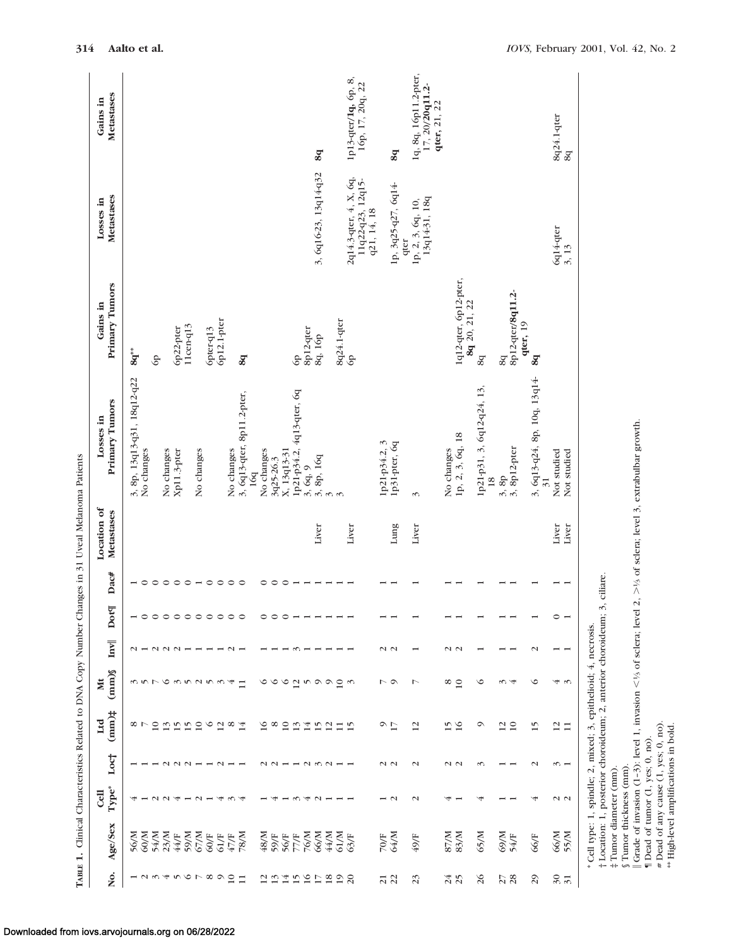|                                                                                                    | Metastases<br>Gains in<br>Metastases<br>Losses in<br>Primary Tumors<br>Gains in<br>Primary Tumors<br>Losses in<br>Location of<br>Metastases<br>Dac#<br>Dot¶<br>Inv<br>$\text{(mm)}$<br>X | $^{8q^{**}}$<br>3, 8p, 13q13-q31, 18q12-q22 | No changes<br>$\circ$<br>$\overline{\phantom{0}}$<br>$\sim$ $-$ | GP.<br>$\circ$<br>ううてんろう253 | No changes<br>$\circ$<br>$\begin{array}{c} \n 0 \\  0 \\  0 \\  \end{array}$ | 6p22-pter<br>Xp11.3-pter<br>$\circ$ | $11$ cen-q $13$<br>$\circ$ | No changes<br>$\overline{\phantom{a}}\circ\circ$ | 6pter-q13 | 6p12.1-pter<br>$\begin{array}{cccccccccc} \circ & \circ & \circ & \circ & \circ & \circ & \circ & \circ & \circ \end{array}$ | No changes<br>$\circ$<br>$\sim$ $-$<br>4 | 8q<br>3, 6q13-qter, 8p11.2-pter,<br>16q<br>$\Box$ | No changes<br>$\circ$<br>$\circ$ | 3q25-26.3<br>$\circ$<br>$\circ$ $\circ$ $\circ$ $\circ$ $\circ$ $\circ$<br>$\circ$ | X, 13q13-31<br>$\circ$ | GP<br>1p21-p34.2, 4q13-qter, 6q<br>$\overline{\phantom{a}}$<br>$\sim$<br>2.000 | 8p12-qter<br>$3, 6q, 9$<br>$3, 8p, 16q$ | 8q<br>3, 6q16-23, 13q14-q32<br>8q, 16p<br>Liver | $\frac{1}{2}$<br>$\overline{10}$ | 8q24.1-qter     | 1p13-qter/1q, 6p, 8,<br>16p, 17, 20q, 22<br>2q14.3-qter, 4, X, 6q,<br>11q22-q23, 12q15-<br>GP<br>Liver<br>$\omega$ | q21, 14, 18<br>1p21-p34.2, 3 | 8q<br>1p, 3q25-q27, 6q14-<br>1p31-pter, 6q<br>Lung<br>$\sim$ $\sim$<br>$\sim$ $\sim$ | 1q, 8q, 16p11.2-pter,<br>1p, 2, 3, 6q, 10,<br>qter<br>$\epsilon$<br>Liver<br>↖ | 17, 20/20q11.2-<br>qter, 21, 22<br>13q14-31, 18q | No changes   | 1q12-qter, 6p12-pter,<br>1p, 2, 3, 6q, 18<br>$\sim$ $\sim$<br>$\frac{8}{10}$ | 8q 20, 21, 22<br>8q<br>1p21-p31, 3, 6q12-q24, 13,<br>$\circ$ | 18 | 8p12-qter/8q11.2-<br>8q<br>3, 8p12-pter<br>3, 8p<br>$\omega$ 4 | qter, 19 | 8q<br>3, 6q13-q24, 8p, 10q, 13q14<br>$\overline{31}$<br>$\mathbf{C}$<br>$\circ$ | 8q24.1-qter<br>6q14-qter<br>Liver<br>$\circ$<br>$-1$ |
|----------------------------------------------------------------------------------------------------|------------------------------------------------------------------------------------------------------------------------------------------------------------------------------------------|---------------------------------------------|-----------------------------------------------------------------|-----------------------------|------------------------------------------------------------------------------|-------------------------------------|----------------------------|--------------------------------------------------|-----------|------------------------------------------------------------------------------------------------------------------------------|------------------------------------------|---------------------------------------------------|----------------------------------|------------------------------------------------------------------------------------|------------------------|--------------------------------------------------------------------------------|-----------------------------------------|-------------------------------------------------|----------------------------------|-----------------|--------------------------------------------------------------------------------------------------------------------|------------------------------|--------------------------------------------------------------------------------------|--------------------------------------------------------------------------------|--------------------------------------------------|--------------|------------------------------------------------------------------------------|--------------------------------------------------------------|----|----------------------------------------------------------------|----------|---------------------------------------------------------------------------------|------------------------------------------------------|
| TABLE 1. Clinical Characteristics Related to DNA Copy Number Changes in 31 Uveal Melanoma Patients |                                                                                                                                                                                          |                                             |                                                                 |                             |                                                                              |                                     |                            |                                                  |           |                                                                                                                              |                                          |                                                   |                                  |                                                                                    |                        |                                                                                |                                         |                                                 |                                  |                 |                                                                                                                    |                              |                                                                                      |                                                                                |                                                  |              |                                                                              |                                                              |    |                                                                |          |                                                                                 | Not studied                                          |
|                                                                                                    |                                                                                                                                                                                          |                                             |                                                                 |                             |                                                                              |                                     |                            |                                                  |           |                                                                                                                              |                                          |                                                   |                                  |                                                                                    |                        |                                                                                |                                         |                                                 |                                  |                 |                                                                                                                    |                              |                                                                                      |                                                                                |                                                  |              |                                                                              |                                                              |    |                                                                |          |                                                                                 |                                                      |
|                                                                                                    |                                                                                                                                                                                          |                                             |                                                                 |                             |                                                                              |                                     |                            |                                                  |           |                                                                                                                              |                                          |                                                   |                                  |                                                                                    |                        |                                                                                |                                         |                                                 |                                  |                 |                                                                                                                    |                              |                                                                                      |                                                                                |                                                  |              |                                                                              |                                                              |    |                                                                |          |                                                                                 |                                                      |
|                                                                                                    |                                                                                                                                                                                          |                                             |                                                                 |                             |                                                                              |                                     |                            |                                                  |           |                                                                                                                              |                                          |                                                   |                                  |                                                                                    |                        |                                                                                |                                         |                                                 |                                  |                 |                                                                                                                    |                              |                                                                                      |                                                                                |                                                  |              |                                                                              |                                                              |    |                                                                |          |                                                                                 |                                                      |
|                                                                                                    |                                                                                                                                                                                          |                                             |                                                                 |                             |                                                                              |                                     |                            |                                                  |           |                                                                                                                              |                                          |                                                   |                                  |                                                                                    |                        |                                                                                |                                         |                                                 |                                  |                 |                                                                                                                    |                              |                                                                                      |                                                                                |                                                  |              |                                                                              |                                                              |    |                                                                |          |                                                                                 |                                                      |
|                                                                                                    |                                                                                                                                                                                          |                                             |                                                                 |                             |                                                                              |                                     |                            |                                                  |           |                                                                                                                              |                                          |                                                   |                                  |                                                                                    |                        |                                                                                |                                         |                                                 |                                  |                 |                                                                                                                    |                              |                                                                                      |                                                                                |                                                  |              |                                                                              |                                                              |    |                                                                |          |                                                                                 | $4\, \omega$                                         |
|                                                                                                    | $t$ (mm) $t$<br>Ltd                                                                                                                                                                      |                                             | $\infty$ $\sim$                                                 | $\overline{10}$             |                                                                              | $\frac{13}{15}$                     | 15                         | 10                                               | $\circ$   | $\overline{12}$                                                                                                              | $^{\circ}$                               | 14                                                | $\overline{16}$                  | $^{\circ}$                                                                         | $\overline{10}$        | 13                                                                             | 14                                      | 15                                              | $\overline{12}$                  | $\frac{11}{15}$ |                                                                                                                    |                              | $\sim$ $\sim$                                                                        | $\overline{12}$                                                                |                                                  |              | $\frac{5}{16}$                                                               | റ                                                            |    | $\frac{2}{10}$                                                 |          | 15                                                                              | $\frac{2}{11}$                                       |
|                                                                                                    | Loc <sup>+</sup>                                                                                                                                                                         |                                             |                                                                 |                             |                                                                              | $\sim$                              | $\sim$                     |                                                  |           |                                                                                                                              |                                          |                                                   |                                  |                                                                                    |                        |                                                                                |                                         |                                                 |                                  |                 |                                                                                                                    |                              | $\sim$ $\sim$                                                                        | $\mathbf{\sim}$                                                                |                                                  |              | $\sim$ $\sim$                                                                | S                                                            |    |                                                                |          | $\mathbf{\sim}$                                                                 | $\frac{1}{2}$                                        |
|                                                                                                    | Type*<br>$C$ ell                                                                                                                                                                         |                                             |                                                                 |                             | $\sim$                                                                       | Α                                   |                            | $\sim$                                           |           | પ                                                                                                                            |                                          |                                                   |                                  |                                                                                    |                        |                                                                                |                                         | $\sim$                                          |                                  |                 |                                                                                                                    |                              | $\overline{z}$                                                                       | $\mathbf{\sim}$                                                                |                                                  | ₩            |                                                                              | ч                                                            |    |                                                                |          | À                                                                               | $\sim$ $\sim$                                        |
|                                                                                                    | Age/Sex                                                                                                                                                                                  | 56/M                                        | 60/M                                                            | 54/M                        | 23/M                                                                         | 44/F                                | 59/M                       | 67/M                                             | 60/F      | 61/F                                                                                                                         | $47/\mathrm{F}$                          | 78/M                                              | 48/M                             | 59/F                                                                               | 56/F                   | 77/F<br>76/M                                                                   |                                         | 66/M                                            | 44/M                             | 61/M            | 63/F                                                                                                               |                              | 70/F<br>64/M                                                                         | 49/F                                                                           |                                                  | <b>N//28</b> | 83/M                                                                         | 65/M                                                         |    | 69/M<br>54/F                                                   |          | 66/F                                                                            | 66/M                                                 |
|                                                                                                    | ğ.                                                                                                                                                                                       |                                             |                                                                 | $ \sim$ $\sim$ $+$          |                                                                              |                                     |                            | 00000                                            |           |                                                                                                                              | $\overline{10}$                          | $\Box$                                            |                                  | $\mathbf{13}$                                                                      | 14                     | 15                                                                             | 16                                      | $\overline{L}$                                  | 18                               | $\overline{19}$ | $\overline{c}$                                                                                                     |                              | $\frac{21}{22}$                                                                      | 23                                                                             |                                                  |              | 24                                                                           | $\delta$                                                     |    | 27                                                             |          | $\mathfrak{S}$                                                                  | $\frac{30}{31}$                                      |

‡ Tumor diameter (mm). § Tumor thickness (mm).

† Location: 1, posterior choroideum; 2, anterior choroideum; 3, ciliare.

 Grade of invasion (1–3): level 1, invasion  $lt$  is of sclera; level 2,

\* Cell type: 1, spindle; 2, mixed; 3, epithelioid; 4, necrosis.<br>
† Location: 1, posterior choroideum; 2, anterior choroideum; 3, ciliare.<br>
† Tumor diameter (mm).<br>
§ Tumor thickness (mm).<br>
§ Tumor thickness (mm).<br>
∥ Grade  $>$ 1⁄3 of sclera; level 3, extrabulbar growth. ¶ Dead of tumor (1, yes; 0, no).

# Dead of any cause (1, yes; 0, no).

\*\* High-level amplifications in bold.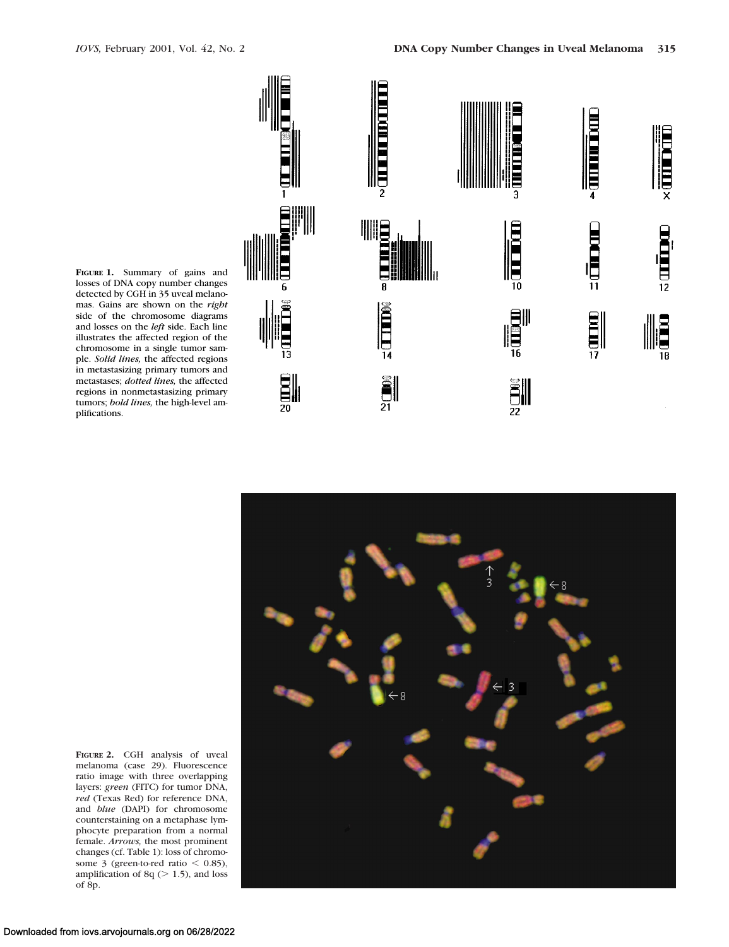



**FIGURE 1.** Summary of gains and losses of DNA copy number changes detected by CGH in 35 uveal melanomas. Gains are shown on the *right* side of the chromosome diagrams and losses on the *left* side. Each line illustrates the affected region of the chromosome in a single tumor sample. *Solid lines,* the affected regions in metastasizing primary tumors and metastases; *dotted lines,* the affected regions in nonmetastasizing primary tumors; *bold lines,* the high-level amplifications.



**FIGURE 2.** CGH analysis of uveal melanoma (case 29). Fluorescence ratio image with three overlapping layers: *green* (FITC) for tumor DNA, *red* (Texas Red) for reference DNA, and *blue* (DAPI) for chromosome counterstaining on a metaphase lymphocyte preparation from a normal female. *Arrows,* the most prominent changes (cf. Table 1): loss of chromosome 3 (green-to-red ratio  $<$  0.85), amplification of  $8q (> 1.5)$ , and loss of 8p.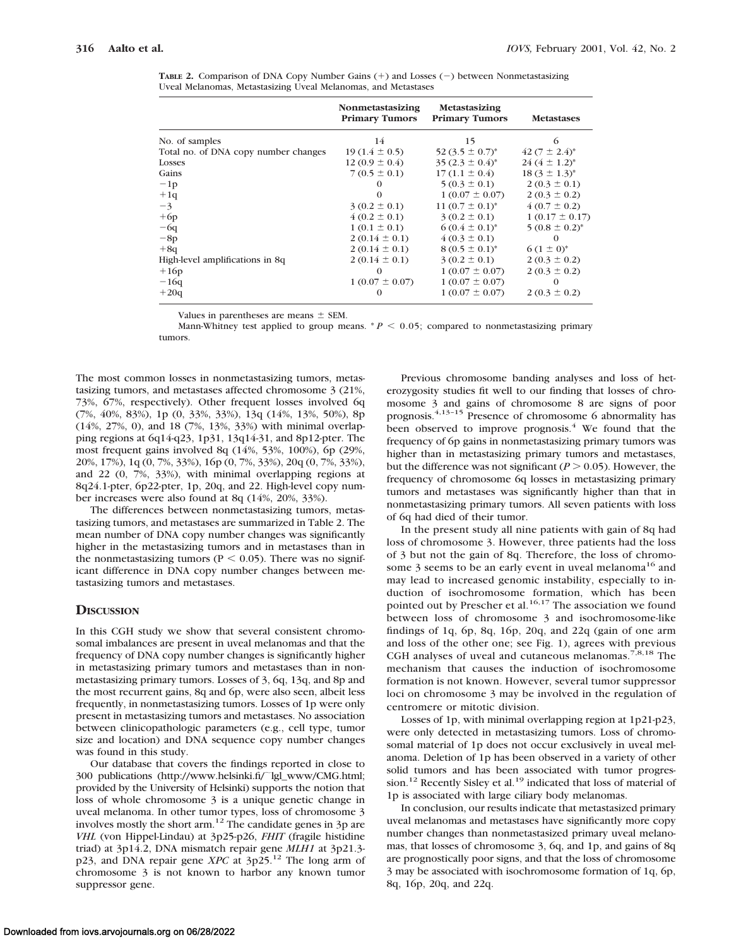**TABLE 2.** Comparison of DNA Copy Number Gains (+) and Losses (-) between Nonmetastasizing Uveal Melanomas, Metastasizing Uveal Melanomas, and Metastases

|                                      | Nonmetastasizing<br><b>Primary Tumors</b> | Metastasizing<br><b>Primary Tumors</b> | <b>Metastases</b>  |
|--------------------------------------|-------------------------------------------|----------------------------------------|--------------------|
| No. of samples                       | 14                                        | 15                                     | 6                  |
| Total no. of DNA copy number changes | $19(1.4 \pm 0.5)$                         | 52 $(3.5 \pm 0.7)^*$                   | $42(7 \pm 2.4)^*$  |
| Losses                               | $12(0.9 \pm 0.4)$                         | $35 (2.3 \pm 0.4)^*$                   | $24(4 \pm 1.2)^*$  |
| Gains                                | $7(0.5 \pm 0.1)$                          | $17(1.1 \pm 0.4)$                      | $18(3 \pm 1.3)^*$  |
| $-1p$                                | $\theta$                                  | $5(0.3 \pm 0.1)$                       | $2(0.3 \pm 0.1)$   |
| $+1q$                                | $\Omega$                                  | $1(0.07 \pm 0.07)$                     | $2(0.3 \pm 0.2)$   |
| $-3$                                 | $3(0.2 \pm 0.1)$                          | 11 $(0.7 \pm 0.1)^*$                   | $4(0.7 \pm 0.2)$   |
| $+6p$                                | $4(0.2 \pm 0.1)$                          | $3(0.2 \pm 0.1)$                       | $1(0.17 \pm 0.17)$ |
| $-6q$                                | $1(0.1 \pm 0.1)$                          | $6(0.4 \pm 0.1)^*$                     | $5(0.8 \pm 0.2)^*$ |
| $-8p$                                | $2(0.14 \pm 0.1)$                         | $4(0.3 \pm 0.1)$                       | $\Omega$           |
| $+8q$                                | $2(0.14 \pm 0.1)$                         | $8(0.5 \pm 0.1)^*$                     | $6(1 \pm 0)^*$     |
| High-level amplifications in 8q      | $2(0.14 \pm 0.1)$                         | $3(0.2 \pm 0.1)$                       | $2(0.3 \pm 0.2)$   |
| $+16p$                               | $\Omega$                                  | $1(0.07 \pm 0.07)$                     | $2(0.3 \pm 0.2)$   |
| $-16q$                               | $1(0.07 \pm 0.07)$                        | $1(0.07 \pm 0.07)$                     | $\Omega$           |
| $+20q$                               | $\Omega$                                  | $1(0.07 \pm 0.07)$                     | $2(0.3 \pm 0.2)$   |

Values in parentheses are means  $\pm$  SEM.

Mann-Whitney test applied to group means.  $P < 0.05$ ; compared to nonmetastasizing primary tumors.

The most common losses in nonmetastasizing tumors, metastasizing tumors, and metastases affected chromosome 3 (21%, 73%, 67%, respectively). Other frequent losses involved 6q (7%, 40%, 83%), 1p (0, 33%, 33%), 13q (14%, 13%, 50%), 8p (14%, 27%, 0), and 18 (7%, 13%, 33%) with minimal overlapping regions at 6q14-q23, 1p31, 13q14-31, and 8p12-pter. The most frequent gains involved 8q (14%, 53%, 100%), 6p (29%, 20%, 17%), 1q (0, 7%, 33%), 16p (0, 7%, 33%), 20q (0, 7%, 33%), and 22 (0, 7%, 33%), with minimal overlapping regions at 8q24.1-pter, 6p22-pter, 1p, 20q, and 22. High-level copy number increases were also found at 8q (14%, 20%, 33%).

The differences between nonmetastasizing tumors, metastasizing tumors, and metastases are summarized in Table 2. The mean number of DNA copy number changes was significantly higher in the metastasizing tumors and in metastases than in the nonmetastasizing tumors ( $P < 0.05$ ). There was no significant difference in DNA copy number changes between metastasizing tumors and metastases.

## **DISCUSSION**

In this CGH study we show that several consistent chromosomal imbalances are present in uveal melanomas and that the frequency of DNA copy number changes is significantly higher in metastasizing primary tumors and metastases than in nonmetastasizing primary tumors. Losses of 3, 6q, 13q, and 8p and the most recurrent gains, 8q and 6p, were also seen, albeit less frequently, in nonmetastasizing tumors. Losses of 1p were only present in metastasizing tumors and metastases. No association between clinicopathologic parameters (e.g., cell type, tumor size and location) and DNA sequence copy number changes was found in this study.

Our database that covers the findings reported in close to 300 publications (http://www.helsinki.fi/<sup>--</sup>lgl\_www/CMG.html; provided by the University of Helsinki) supports the notion that loss of whole chromosome 3 is a unique genetic change in uveal melanoma. In other tumor types, loss of chromosome 3 involves mostly the short arm.<sup>12</sup> The candidate genes in 3p are *VHL* (von Hippel-Lindau) at 3p25-p26, *FHIT* (fragile histidine triad) at 3p14.2, DNA mismatch repair gene *MLH1* at 3p21.3 p23, and DNA repair gene *XPC* at 3p25.12 The long arm of chromosome 3 is not known to harbor any known tumor suppressor gene.

Previous chromosome banding analyses and loss of heterozygosity studies fit well to our finding that losses of chromosome 3 and gains of chromosome 8 are signs of poor prognosis.4,13–15 Presence of chromosome 6 abnormality has been observed to improve prognosis.<sup>4</sup> We found that the frequency of 6p gains in nonmetastasizing primary tumors was higher than in metastasizing primary tumors and metastases, but the difference was not significant ( $P > 0.05$ ). However, the frequency of chromosome 6q losses in metastasizing primary tumors and metastases was significantly higher than that in nonmetastasizing primary tumors. All seven patients with loss of 6q had died of their tumor.

In the present study all nine patients with gain of 8q had loss of chromosome 3. However, three patients had the loss of 3 but not the gain of 8q. Therefore, the loss of chromosome 3 seems to be an early event in uveal melanoma<sup>16</sup> and may lead to increased genomic instability, especially to induction of isochromosome formation, which has been pointed out by Prescher et al.<sup>16,17</sup> The association we found between loss of chromosome 3 and isochromosome-like findings of 1q, 6p, 8q, 16p, 20q, and 22q (gain of one arm and loss of the other one; see Fig. 1), agrees with previous CGH analyses of uveal and cutaneous melanomas.<sup>7,8,18</sup> The mechanism that causes the induction of isochromosome formation is not known. However, several tumor suppressor loci on chromosome 3 may be involved in the regulation of centromere or mitotic division.

Losses of 1p, with minimal overlapping region at 1p21-p23, were only detected in metastasizing tumors. Loss of chromosomal material of 1p does not occur exclusively in uveal melanoma. Deletion of 1p has been observed in a variety of other solid tumors and has been associated with tumor progression.<sup>12</sup> Recently Sisley et al.<sup>19</sup> indicated that loss of material of 1p is associated with large ciliary body melanomas.

In conclusion, our results indicate that metastasized primary uveal melanomas and metastases have significantly more copy number changes than nonmetastasized primary uveal melanomas, that losses of chromosome 3, 6q, and 1p, and gains of 8q are prognostically poor signs, and that the loss of chromosome 3 may be associated with isochromosome formation of 1q, 6p, 8q, 16p, 20q, and 22q.